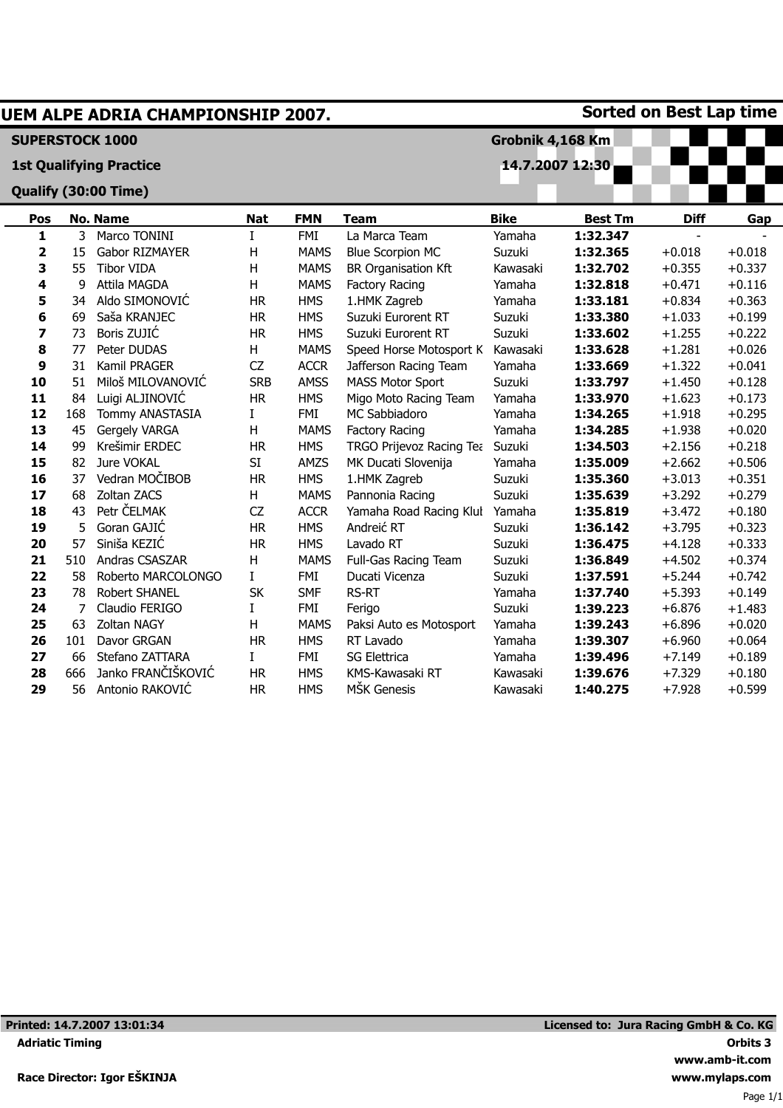| <b>Sorted on Best Lap time</b><br>UEM ALPE ADRIA CHAMPIONSHIP 2007. |     |                                |                 |             |                            |             |                |             |          |
|---------------------------------------------------------------------|-----|--------------------------------|-----------------|-------------|----------------------------|-------------|----------------|-------------|----------|
| <b>SUPERSTOCK 1000</b><br>Grobnik 4,168 Km                          |     |                                |                 |             |                            |             |                |             |          |
|                                                                     |     | <b>1st Qualifying Practice</b> | 14.7.2007 12:30 |             |                            |             |                |             |          |
|                                                                     |     | Qualify (30:00 Time)           |                 |             |                            |             |                |             |          |
| Pos                                                                 |     | <b>No. Name</b>                | <b>Nat</b>      | <b>FMN</b>  | <b>Team</b>                | <b>Bike</b> | <b>Best Tm</b> | <b>Diff</b> | Gap      |
| $\mathbf{1}$                                                        | 3   | Marco TONINI                   | $\mathbf I$     | <b>FMI</b>  | La Marca Team              | Yamaha      | 1:32.347       |             |          |
| $\overline{\mathbf{2}}$                                             | 15  | Gabor RIZMAYER                 | Η               | <b>MAMS</b> | <b>Blue Scorpion MC</b>    | Suzuki      | 1:32.365       | $+0.018$    | $+0.018$ |
| 3                                                                   | 55  | <b>Tibor VIDA</b>              | н               | <b>MAMS</b> | <b>BR Organisation Kft</b> | Kawasaki    | 1:32.702       | $+0.355$    | $+0.337$ |
| 4                                                                   | 9   | Attila MAGDA                   | н               | <b>MAMS</b> | Factory Racing             | Yamaha      | 1:32.818       | $+0.471$    | $+0.116$ |
| 5                                                                   | 34  | Aldo SIMONOVIĆ                 | <b>HR</b>       | <b>HMS</b>  | 1.HMK Zagreb               | Yamaha      | 1:33.181       | $+0.834$    | $+0.363$ |
| 6                                                                   | 69  | Saša KRANJEC                   | <b>HR</b>       | <b>HMS</b>  | Suzuki Eurorent RT         | Suzuki      | 1:33.380       | $+1.033$    | $+0.199$ |
| 7                                                                   | 73  | Boris ZUJIĆ                    | <b>HR</b>       | <b>HMS</b>  | Suzuki Eurorent RT         | Suzuki      | 1:33.602       | $+1.255$    | $+0.222$ |
| 8                                                                   | 77  | Peter DUDAS                    | Н               | <b>MAMS</b> | Speed Horse Motosport K    | Kawasaki    | 1:33.628       | $+1.281$    | $+0.026$ |
| 9                                                                   | 31  | Kamil PRAGER                   | CZ              | <b>ACCR</b> | Jafferson Racing Team      | Yamaha      | 1:33.669       | $+1.322$    | $+0.041$ |
| 10                                                                  | 51  | Miloš MILOVANOVIĆ              | <b>SRB</b>      | <b>AMSS</b> | <b>MASS Motor Sport</b>    | Suzuki      | 1:33.797       | $+1.450$    | $+0.128$ |
| 11                                                                  | 84  | Luigi ALJINOVIĆ                | <b>HR</b>       | <b>HMS</b>  | Migo Moto Racing Team      | Yamaha      | 1:33.970       | $+1.623$    | $+0.173$ |
| 12                                                                  | 168 | Tommy ANASTASIA                | I               | <b>FMI</b>  | <b>MC Sabbiadoro</b>       | Yamaha      | 1:34.265       | $+1.918$    | $+0.295$ |
| 13                                                                  | 45  | Gergely VARGA                  | Η               | <b>MAMS</b> | <b>Factory Racing</b>      | Yamaha      | 1:34.285       | $+1.938$    | $+0.020$ |
| 14                                                                  | 99  | Krešimir ERDEC                 | <b>HR</b>       | <b>HMS</b>  | TRGO Prijevoz Racing Tea   | Suzuki      | 1:34.503       | $+2.156$    | $+0.218$ |
| 15                                                                  | 82  | Jure VOKAL                     | SI              | AMZS        | MK Ducati Slovenija        | Yamaha      | 1:35.009       | $+2.662$    | $+0.506$ |
| 16                                                                  | 37  | Vedran MOČIBOB                 | <b>HR</b>       | <b>HMS</b>  | 1.HMK Zagreb               | Suzuki      | 1:35.360       | $+3.013$    | $+0.351$ |
| 17                                                                  | 68  | Zoltan ZACS                    | Н               | <b>MAMS</b> | Pannonia Racing            | Suzuki      | 1:35.639       | $+3.292$    | $+0.279$ |
| 18                                                                  | 43  | Petr ČELMAK                    | CZ              | <b>ACCR</b> | Yamaha Road Racing Klul    | Yamaha      | 1:35.819       | $+3.472$    | $+0.180$ |
| 19                                                                  | 5   | Goran GAJIĆ                    | <b>HR</b>       | <b>HMS</b>  | Andreić RT                 | Suzuki      | 1:36.142       | $+3.795$    | $+0.323$ |
| 20                                                                  | 57  | Siniša KEZIĆ                   | <b>HR</b>       | <b>HMS</b>  | Lavado RT                  | Suzuki      | 1:36.475       | $+4.128$    | $+0.333$ |
| 21                                                                  | 510 | Andras CSASZAR                 | H               | <b>MAMS</b> | Full-Gas Racing Team       | Suzuki      | 1:36.849       | $+4.502$    | $+0.374$ |
| 22                                                                  | 58  | Roberto MARCOLONGO             | I               | <b>FMI</b>  | Ducati Vicenza             | Suzuki      | 1:37.591       | $+5.244$    | $+0.742$ |
| 23                                                                  | 78  | Robert SHANEL                  | <b>SK</b>       | <b>SMF</b>  | <b>RS-RT</b>               | Yamaha      | 1:37.740       | $+5.393$    | $+0.149$ |
| 24                                                                  | 7   | Claudio FERIGO                 | I               | <b>FMI</b>  | Ferigo                     | Suzuki      | 1:39.223       | $+6.876$    | $+1.483$ |
| 25                                                                  | 63  | Zoltan NAGY                    | Η               | <b>MAMS</b> | Paksi Auto es Motosport    | Yamaha      | 1:39.243       | $+6.896$    | $+0.020$ |
| 26                                                                  | 101 | Davor GRGAN                    | <b>HR</b>       | <b>HMS</b>  | RT Lavado                  | Yamaha      | 1:39.307       | $+6.960$    | $+0.064$ |
| 27                                                                  | 66  | Stefano ZATTARA                | I               | <b>FMI</b>  | <b>SG Elettrica</b>        | Yamaha      | 1:39.496       | $+7.149$    | $+0.189$ |
| 28                                                                  | 666 | Janko FRANČIŠKOVIĆ             | <b>HR</b>       | <b>HMS</b>  | KMS-Kawasaki RT            | Kawasaki    | 1:39.676       | $+7.329$    | $+0.180$ |
| 29                                                                  | 56  | Antonio RAKOVIĆ                | <b>HR</b>       | <b>HMS</b>  | MŠK Genesis                | Kawasaki    | 1:40.275       | $+7.928$    | $+0.599$ |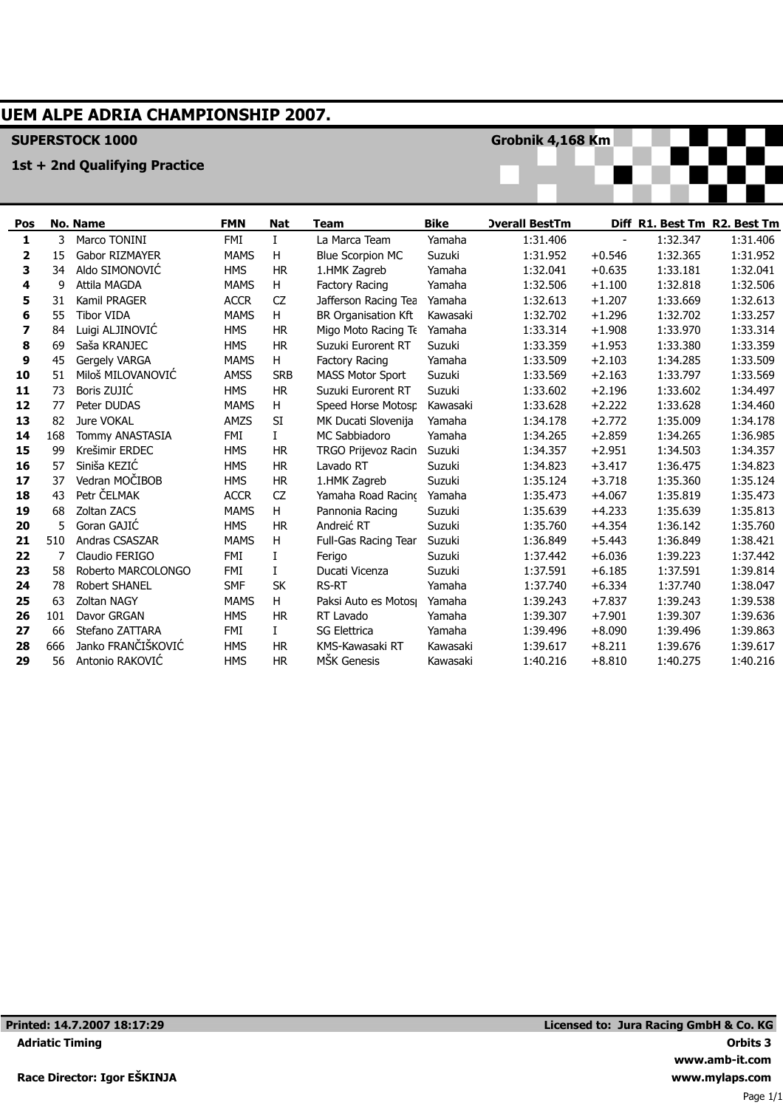# **UEM ALPE ADRIA CHAMPIONSHIP 2007.**

### **SUPERSTOCK 1000**

### **1st + 2nd Qualifying Practice**

**Grobnik 4,168 Km**



| Pos |     | No. Name              | <b>FMN</b>  | Nat          | Team                       | <b>Bike</b> | <b>Overall BestTm</b> |          |          | Diff R1. Best Tm R2. Best Tm |
|-----|-----|-----------------------|-------------|--------------|----------------------------|-------------|-----------------------|----------|----------|------------------------------|
| 1   | 3   | Marco TONINI          | <b>FMI</b>  | $\mathbf{I}$ | La Marca Team              | Yamaha      | 1:31.406              |          | 1:32.347 | 1:31.406                     |
| 2   | 15  | <b>Gabor RIZMAYER</b> | <b>MAMS</b> | H            | <b>Blue Scorpion MC</b>    | Suzuki      | 1:31.952              | $+0.546$ | 1:32.365 | 1:31.952                     |
| 3   | 34  | Aldo SIMONOVIĆ        | <b>HMS</b>  | <b>HR</b>    | 1.HMK Zagreb               | Yamaha      | 1:32.041              | $+0.635$ | 1:33.181 | 1:32.041                     |
| 4   | 9   | Attila MAGDA          | <b>MAMS</b> | H            | Factory Racing             | Yamaha      | 1:32.506              | $+1.100$ | 1:32.818 | 1:32.506                     |
| 5   | 31  | Kamil PRAGER          | <b>ACCR</b> | CZ           | Jafferson Racing Tea       | Yamaha      | 1:32.613              | $+1.207$ | 1:33.669 | 1:32.613                     |
| 6   | 55  | <b>Tibor VIDA</b>     | <b>MAMS</b> | H            | <b>BR Organisation Kft</b> | Kawasaki    | 1:32.702              | $+1.296$ | 1:32.702 | 1:33.257                     |
| 7   | 84  | Luigi ALJINOVIĆ       | <b>HMS</b>  | <b>HR</b>    | Migo Moto Racing Te        | Yamaha      | 1:33.314              | $+1.908$ | 1:33.970 | 1:33.314                     |
| 8   | 69  | Saša KRANJEC          | <b>HMS</b>  | <b>HR</b>    | Suzuki Eurorent RT         | Suzuki      | 1:33.359              | $+1.953$ | 1:33.380 | 1:33.359                     |
| 9   | 45  | Gergely VARGA         | <b>MAMS</b> | H            | Factory Racing             | Yamaha      | 1:33.509              | $+2.103$ | 1:34.285 | 1:33.509                     |
| 10  | 51  | Miloš MILOVANOVIĆ     | <b>AMSS</b> | <b>SRB</b>   | <b>MASS Motor Sport</b>    | Suzuki      | 1:33.569              | $+2.163$ | 1:33.797 | 1:33.569                     |
| 11  | 73  | Boris ZUJIĆ           | <b>HMS</b>  | <b>HR</b>    | Suzuki Eurorent RT         | Suzuki      | 1:33.602              | $+2.196$ | 1:33.602 | 1:34.497                     |
| 12  | 77  | Peter DUDAS           | <b>MAMS</b> | н            | Speed Horse Motosp         | Kawasaki    | 1:33.628              | $+2.222$ | 1:33.628 | 1:34.460                     |
| 13  | 82  | Jure VOKAL            | AMZS        | SI           | MK Ducati Slovenija        | Yamaha      | 1:34.178              | $+2.772$ | 1:35.009 | 1:34.178                     |
| 14  | 168 | Tommy ANASTASIA       | <b>FMI</b>  | $\mathbf I$  | MC Sabbiadoro              | Yamaha      | 1:34.265              | $+2.859$ | 1:34.265 | 1:36.985                     |
| 15  | 99  | Krešimir ERDEC        | <b>HMS</b>  | <b>HR</b>    | TRGO Prijevoz Racin        | Suzuki      | 1:34.357              | $+2.951$ | 1:34.503 | 1:34.357                     |
| 16  | 57  | Siniša KEZIĆ          | <b>HMS</b>  | <b>HR</b>    | Lavado RT                  | Suzuki      | 1:34.823              | $+3.417$ | 1:36.475 | 1:34.823                     |
| 17  | 37  | Vedran MOČIBOB        | <b>HMS</b>  | <b>HR</b>    | 1.HMK Zagreb               | Suzuki      | 1:35.124              | $+3.718$ | 1:35.360 | 1:35.124                     |
| 18  | 43  | Petr ČELMAK           | <b>ACCR</b> | CZ           | Yamaha Road Racino         | Yamaha      | 1:35.473              | $+4.067$ | 1:35.819 | 1:35.473                     |
| 19  | 68  | Zoltan ZACS           | <b>MAMS</b> | H            | Pannonia Racing            | Suzuki      | 1:35.639              | $+4.233$ | 1:35.639 | 1:35.813                     |
| 20  | 5   | Goran GAJIĆ           | <b>HMS</b>  | <b>HR</b>    | Andreić RT                 | Suzuki      | 1:35.760              | $+4.354$ | 1:36.142 | 1:35.760                     |
| 21  | 510 | <b>Andras CSASZAR</b> | <b>MAMS</b> | н            | Full-Gas Racing Tear       | Suzuki      | 1:36.849              | $+5.443$ | 1:36.849 | 1:38.421                     |
| 22  | 7   | Claudio FERIGO        | <b>FMI</b>  | L            | Ferigo                     | Suzuki      | 1:37.442              | $+6.036$ | 1:39.223 | 1:37.442                     |
| 23  | 58  | Roberto MARCOLONGO    | <b>FMI</b>  | L            | Ducati Vicenza             | Suzuki      | 1:37.591              | $+6.185$ | 1:37.591 | 1:39.814                     |
| 24  | 78  | Robert SHANEL         | <b>SMF</b>  | <b>SK</b>    | <b>RS-RT</b>               | Yamaha      | 1:37.740              | $+6.334$ | 1:37.740 | 1:38.047                     |
| 25  | 63  | <b>Zoltan NAGY</b>    | <b>MAMS</b> | H            | Paksi Auto es Motos        | Yamaha      | 1:39.243              | $+7.837$ | 1:39.243 | 1:39.538                     |
| 26  | 101 | Davor GRGAN           | <b>HMS</b>  | <b>HR</b>    | RT Lavado                  | Yamaha      | 1:39.307              | $+7.901$ | 1:39.307 | 1:39.636                     |
| 27  | 66  | Stefano ZATTARA       | <b>FMI</b>  | L            | <b>SG Elettrica</b>        | Yamaha      | 1:39.496              | $+8.090$ | 1:39.496 | 1:39.863                     |
| 28  | 666 | Janko FRANČIŠKOVIĆ    | <b>HMS</b>  | <b>HR</b>    | KMS-Kawasaki RT            | Kawasaki    | 1:39.617              | $+8.211$ | 1:39.676 | 1:39.617                     |
| 29  | 56  | Antonio RAKOVIĆ       | <b>HMS</b>  | <b>HR</b>    | MŠK Genesis                | Kawasaki    | 1:40.216              | $+8.810$ | 1:40.275 | 1:40.216                     |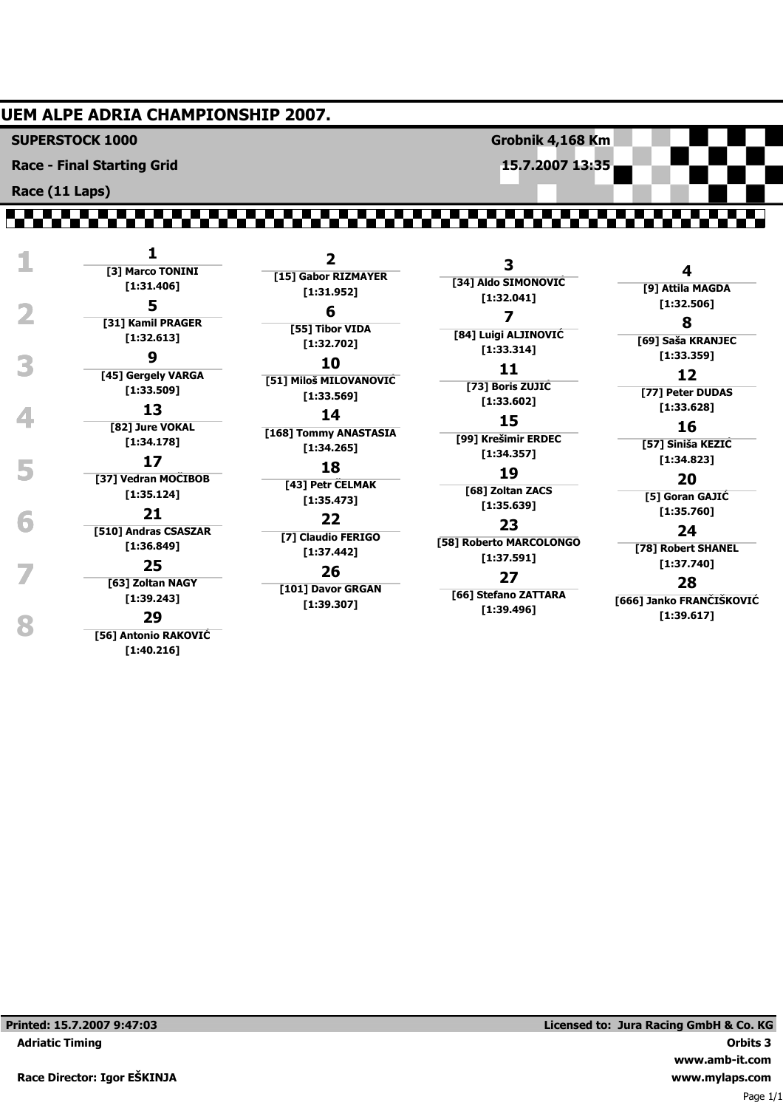## **UEM ALPE ADRIA CHAMPIONSHIP 2007.**

**SUPERSTOCK 1000**

**Race - Final Starting Grid**

**Race (11 Laps)**

# ,,,,,,,,,,,,,,,,,,,,,,,,,,,,,,,,

 **1 <sup>1</sup> [3] Marco TONINI [1:31.406] 1.**:32.506]<br> **1.**:32.506]<br> **1.:32.506]**<br> **1.:32.506]**<br> **1.:32.506] [31] Kamil PRAGER [1:32.613] 9 10 11 12 11 12 11 12 [45] Gergely VARGA [1:33.509] 13 14 15** [1:33.628] **16 113 14 15 16 16 16 [82] Jure VOKAL [1:34.178] [1:34.823] 5 <sup>17</sup> [37] Vedran MOČIBOB [1:35.124] 1:**35.760]<br> **1:35.760 1:35.760**<br> **24 1:35.760 23 [510] Andras CSASZAR [1:36.849] 25 25 26 27 28 28 28 28 [63] Zoltan NAGY [1:39.243] [1:39.617] 8 <sup>29</sup> [56] Antonio RAKOVIĆ**

**[1:40.216]**

**2 [15] Gabor RIZMAYER [1:31.952] 6 [55] Tibor VIDA [1:32.702] 10 [51] Miloš MILOVANOVIĆ [1:33.569] 14 [168] Tommy ANASTASIA [1:34.265] 18 [43] Petr ČELMAK [1:35.473] 22 [7] Claudio FERIGO [1:37.442] 26 [101] Davor GRGAN**

**[1:39.307]**

**3 [34] Aldo SIMONOVIĆ [1:32.041] 7 [84] Luigi ALJINOVIĆ [1:33.314] 11 [73] Boris ZUJIĆ [1:33.602] 15 [99] Krešimir ERDEC [1:34.357] 19 [68] Zoltan ZACS [1:35.639] 23 [58] Roberto MARCOLONGO [1:37.591] 27**

**Grobnik 4,168 Km 15.7.2007 13:35**

**[66] Stefano ZATTARA [1:39.496]**

**8 [69] Saša KRANJEC 12**

**4 [9] Attila MAGDA**

**[77] Peter DUDAS**

# **16**

**[57] Siniša KEZIĆ**

# **20**

**[5] Goran GAJIĆ**

#### **24**

**[78] Robert SHANEL**

### **28**

**[666] Janko FRANČIŠKOVIĆ**

Page 1/1